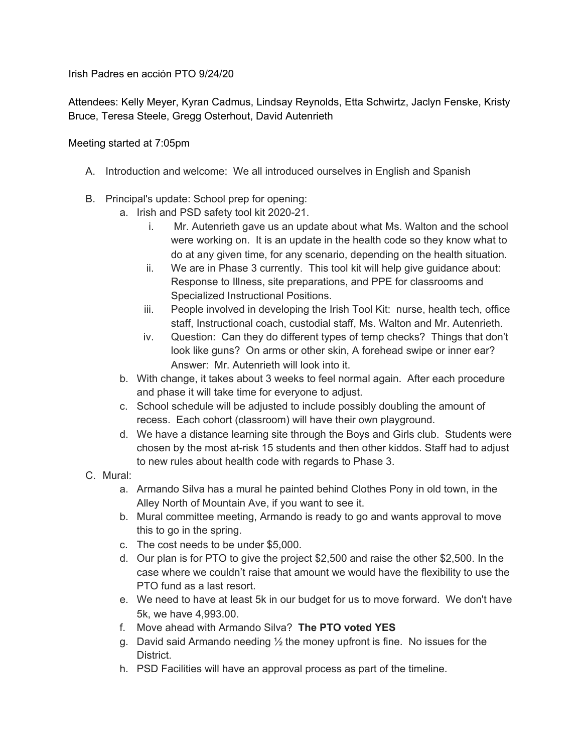Irish Padres en acción PTO 9/24/20

Attendees: Kelly Meyer, Kyran Cadmus, Lindsay Reynolds, Etta Schwirtz, Jaclyn Fenske, Kristy Bruce, Teresa Steele, Gregg Osterhout, David Autenrieth

## Meeting started at 7:05pm

- A. Introduction and welcome: We all introduced ourselves in English and Spanish
- B. Principal's update: School prep for opening:
	- a. Irish and PSD safety tool kit 2020-21.
		- i. Mr. Autenrieth gave us an update about what Ms. Walton and the school were working on. It is an update in the health code so they know what to do at any given time, for any scenario, depending on the health situation.
		- ii. We are in Phase 3 currently. This tool kit will help give guidance about: Response to Illness, site preparations, and PPE for classrooms and Specialized Instructional Positions.
		- iii. People involved in developing the Irish Tool Kit: nurse, health tech, office staff, Instructional coach, custodial staff, Ms. Walton and Mr. Autenrieth.
		- iv. Question: Can they do different types of temp checks? Things that don't look like guns? On arms or other skin, A forehead swipe or inner ear? Answer: Mr. Autenrieth will look into it.
	- b. With change, it takes about 3 weeks to feel normal again. After each procedure and phase it will take time for everyone to adjust.
	- c. School schedule will be adjusted to include possibly doubling the amount of recess. Each cohort (classroom) will have their own playground.
	- d. We have a distance learning site through the Boys and Girls club. Students were chosen by the most at-risk 15 students and then other kiddos. Staff had to adjust to new rules about health code with regards to Phase 3.
- C. Mural:
	- a. Armando Silva has a mural he painted behind Clothes Pony in old town, in the Alley North of Mountain Ave, if you want to see it.
	- b. Mural committee meeting, Armando is ready to go and wants approval to move this to go in the spring.
	- c. The cost needs to be under \$5,000.
	- d. Our plan is for PTO to give the project \$2,500 and raise the other \$2,500. In the case where we couldn't raise that amount we would have the flexibility to use the PTO fund as a last resort.
	- e. We need to have at least 5k in our budget for us to move forward. We don't have 5k, we have 4,993.00.
	- f. Move ahead with Armando Silva? **The PTO voted YES**
	- g. David said Armando needing  $\frac{1}{2}$  the money upfront is fine. No issues for the District.
	- h. PSD Facilities will have an approval process as part of the timeline.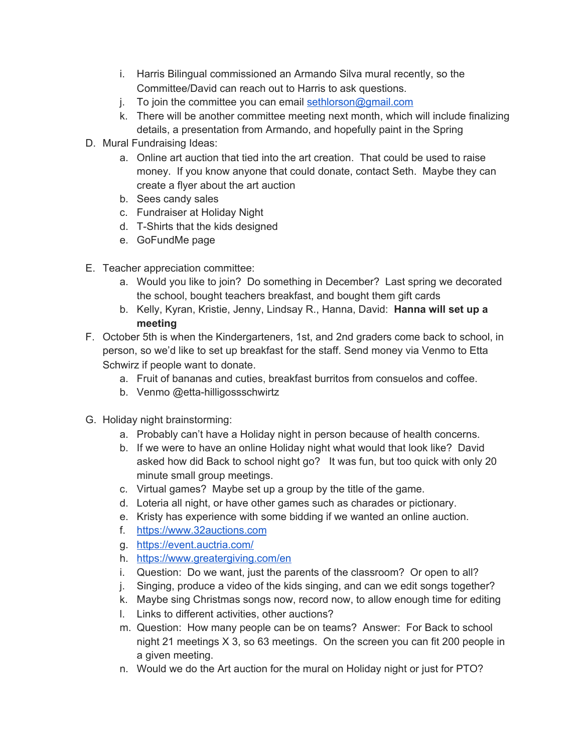- i. Harris Bilingual commissioned an Armando Silva mural recently, so the Committee/David can reach out to Harris to ask questions.
- j. To join the committee you can email [sethlorson@gmail.com](mailto:sethlorson@gmail.com)
- k. There will be another committee meeting next month, which will include finalizing details, a presentation from Armando, and hopefully paint in the Spring
- D. Mural Fundraising Ideas:
	- a. Online art auction that tied into the art creation. That could be used to raise money. If you know anyone that could donate, contact Seth. Maybe they can create a flyer about the art auction
	- b. Sees candy sales
	- c. Fundraiser at Holiday Night
	- d. T-Shirts that the kids designed
	- e. GoFundMe page
- E. Teacher appreciation committee:
	- a. Would you like to join? Do something in December? Last spring we decorated the school, bought teachers breakfast, and bought them gift cards
	- b. Kelly, Kyran, Kristie, Jenny, Lindsay R., Hanna, David: **Hanna will set up a meeting**
- F. October 5th is when the Kindergarteners, 1st, and 2nd graders come back to school, in person, so we'd like to set up breakfast for the staff. Send money via Venmo to Etta Schwirz if people want to donate.
	- a. Fruit of bananas and cuties, breakfast burritos from consuelos and coffee.
	- b. Venmo @etta-hilligossschwirtz
- G. Holiday night brainstorming:
	- a. Probably can't have a Holiday night in person because of health concerns.
	- b. If we were to have an online Holiday night what would that look like? David asked how did Back to school night go? It was fun, but too quick with only 20 minute small group meetings.
	- c. Virtual games? Maybe set up a group by the title of the game.
	- d. Loteria all night, or have other games such as charades or pictionary.
	- e. Kristy has experience with some bidding if we wanted an online auction.
	- f. [https://www.32auctions.com](https://www.32auctions.com/)
	- g. <https://event.auctria.com/>
	- h. <https://www.greatergiving.com/en>
	- i. Question: Do we want, just the parents of the classroom? Or open to all?
	- j. Singing, produce a video of the kids singing, and can we edit songs together?
	- k. Maybe sing Christmas songs now, record now, to allow enough time for editing
	- l. Links to different activities, other auctions?
	- m. Question: How many people can be on teams? Answer: For Back to school night 21 meetings X 3, so 63 meetings. On the screen you can fit 200 people in a given meeting.
	- n. Would we do the Art auction for the mural on Holiday night or just for PTO?